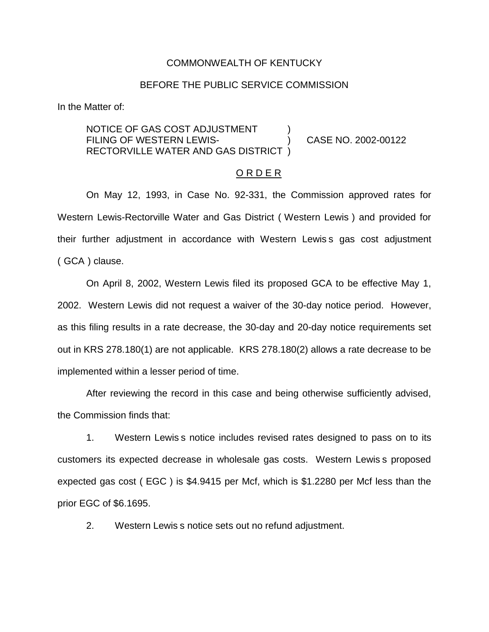#### COMMONWEALTH OF KENTUCKY

#### BEFORE THE PUBLIC SERVICE COMMISSION

In the Matter of:

NOTICE OF GAS COST ADJUSTMENT FILING OF WESTERN LEWIS-<br>
(2002-00122 RECTORVILLE WATER AND GAS DISTRICT )

#### O R D E R

On May 12, 1993, in Case No. 92-331, the Commission approved rates for Western Lewis-Rectorville Water and Gas District ( Western Lewis ) and provided for their further adjustment in accordance with Western Lewis s gas cost adjustment ( GCA ) clause.

On April 8, 2002, Western Lewis filed its proposed GCA to be effective May 1, 2002. Western Lewis did not request a waiver of the 30-day notice period. However, as this filing results in a rate decrease, the 30-day and 20-day notice requirements set out in KRS 278.180(1) are not applicable. KRS 278.180(2) allows a rate decrease to be implemented within a lesser period of time.

After reviewing the record in this case and being otherwise sufficiently advised, the Commission finds that:

1. Western Lewis s notice includes revised rates designed to pass on to its customers its expected decrease in wholesale gas costs. Western Lewis s proposed expected gas cost ( EGC ) is \$4.9415 per Mcf, which is \$1.2280 per Mcf less than the prior EGC of \$6.1695.

2. Western Lewis s notice sets out no refund adjustment.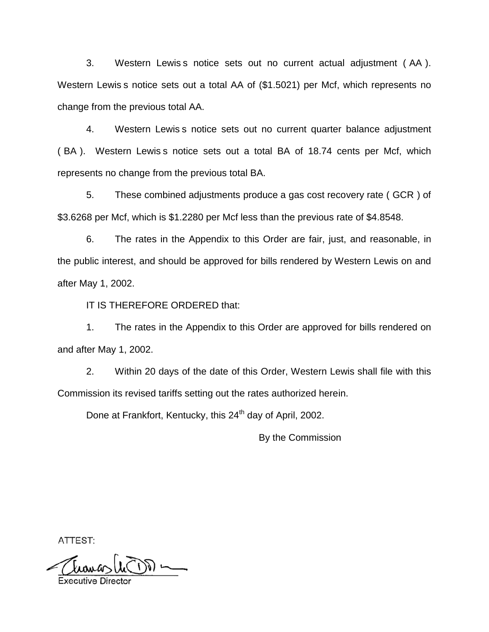3. Western Lewis s notice sets out no current actual adjustment ( AA ). Western Lewis s notice sets out a total AA of (\$1.5021) per Mcf, which represents no change from the previous total AA.

4. Western Lewis s notice sets out no current quarter balance adjustment ( BA ). Western Lewis s notice sets out a total BA of 18.74 cents per Mcf, which represents no change from the previous total BA.

5. These combined adjustments produce a gas cost recovery rate ( GCR ) of \$3.6268 per Mcf, which is \$1.2280 per Mcf less than the previous rate of \$4.8548.

6. The rates in the Appendix to this Order are fair, just, and reasonable, in the public interest, and should be approved for bills rendered by Western Lewis on and after May 1, 2002.

IT IS THEREFORE ORDERED that:

1. The rates in the Appendix to this Order are approved for bills rendered on and after May 1, 2002.

2. Within 20 days of the date of this Order, Western Lewis shall file with this Commission its revised tariffs setting out the rates authorized herein.

Done at Frankfort, Kentucky, this 24<sup>th</sup> day of April, 2002.

By the Commission

ATTEST:

 $\sqrt{N}$